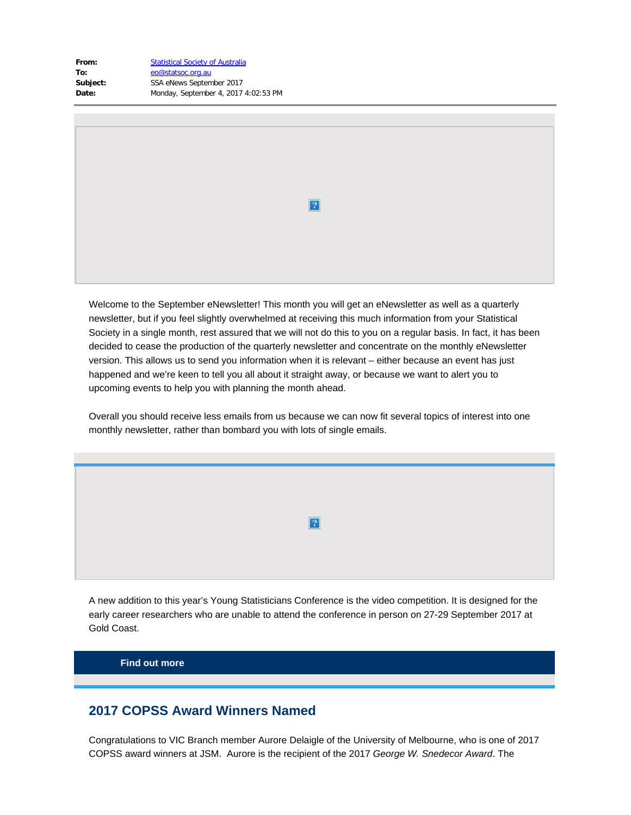| From:    | <b>Statistical Society of Australia</b> |
|----------|-----------------------------------------|
| To:      | eo@statsoc.org.au                       |
| Subject: | SSA eNews September 2017                |
| Date:    | Monday, September 4, 2017 4:02:53 PM    |
|          |                                         |

Welcome to the September eNewsletter! This month you will get an eNewsletter as well as a quarterly newsletter, but if you feel slightly overwhelmed at receiving this much information from your Statistical Society in a single month, rest assured that we will not do this to you on a regular basis. In fact, it has been decided to cease the production of the quarterly newsletter and concentrate on the monthly eNewsletter version. This allows us to send you information when it is relevant – either because an event has just happened and we're keen to tell you all about it straight away, or because we want to alert you to upcoming events to help you with planning the month ahead.

 $\overline{?}$ 

Overall you should receive less emails from us because we can now fit several topics of interest into one monthly newsletter, rather than bombard you with lots of single emails.

 $|2|$ 

A new addition to this year's Young Statisticians Conference is the video competition. It is designed for the early career researchers who are unable to attend the conference in person on 27-29 September 2017 at Gold Coast.

**[Find out more](https://www.vision6.com.au/ch/43209/1wwc8/2411705/84064cq6s-1.pdf)**

### **2017 COPSS Award Winners Named**

Congratulations to VIC Branch member Aurore Delaigle of the University of Melbourne, who is one of 2017 COPSS award winners at JSM. Aurore is the recipient of the 2017 *George W. Snedecor Award*. The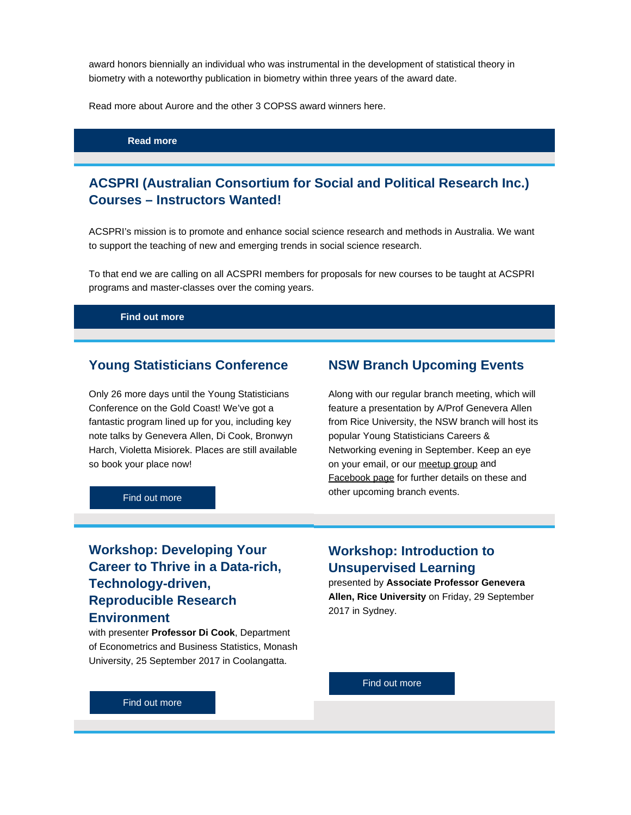award honors biennially an individual who was instrumental in the development of statistical theory in biometry with a noteworthy publication in biometry within three years of the award date.

Read more about Aurore and the other 3 COPSS award winners here.

**[Read more](https://www.vision6.com.au/ch/43209/1wwc8/2411706/84064mp4f-1.pdf)**

## **ACSPRI (Australian Consortium for Social and Political Research Inc.) Courses – Instructors Wanted!**

ACSPRI's mission is to promote and enhance social science research and methods in Australia. We want to support the teaching of new and emerging trends in social science research.

To that end we are calling on all ACSPRI members for proposals for new courses to be taught at ACSPRI programs and master-classes over the coming years.

**[Find out more](https://www.vision6.com.au/ch/43209/1wwc8/2411707/8406418n52-1.pdf)**

#### **Young Statisticians Conference**

Only 26 more days until the Young Statisticians Conference on the Gold Coast! We've got a fantastic program lined up for you, including key note talks by Genevera Allen, Di Cook, Bronwyn Harch, Violetta Misiorek. Places are still available so book your place now!

### **NSW Branch Upcoming Events**

Along with our regular branch meeting, which will feature a presentation by A/Prof Genevera Allen from Rice University, the NSW branch will host its popular Young Statisticians Careers & Networking evening in September. Keep an eye on your email, or our [meetup group](https://www.vision6.com.au/ch/43209/1wwc8/2392675/840648b2g.html) and [Facebook page](https://www.vision6.com.au/ch/43209/1wwc8/2411709/8406471sd.html) for further details on these and other upcoming branch events.

[Find out more](https://www.vision6.com.au/ch/43209/1wwc8/2411708/84064z59y-1.html)

# **Workshop: Developing Your Career to Thrive in a Data-rich, Technology-driven, Reproducible Research Environment**

with presenter **Professor Di Cook**, Department of Econometrics and Business Statistics, Monash University, 25 September 2017 in Coolangatta.

## **Workshop: Introduction to Unsupervised Learning**

presented by **Associate Professor Genevera Allen, Rice University** on Friday, 29 September 2017 in Sydney.

[Find out more](https://www.vision6.com.au/ch/43209/1wwc8/2411719/840647pmj-1.pdf)

[Find out more](file:////c/ ??http://www.statsoc.org.au/events/ssai-events/cpd85-developing-career-thrive-data-rich-technology-drive-reproducible-research-environment/)